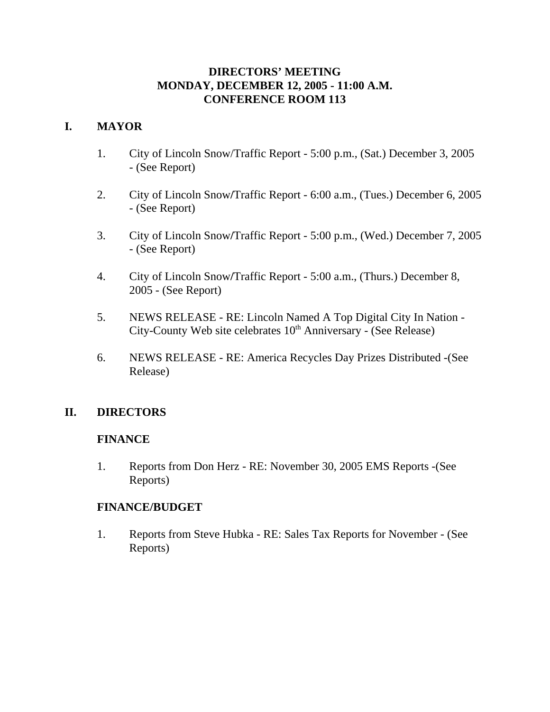### **DIRECTORS' MEETING MONDAY, DECEMBER 12, 2005 - 11:00 A.M. CONFERENCE ROOM 113**

# **I. MAYOR**

- 1. City of Lincoln Snow/Traffic Report 5:00 p.m., (Sat.) December 3, 2005 - (See Report)
- 2. City of Lincoln Snow**/**Traffic Report 6:00 a.m., (Tues.) December 6, 2005 - (See Report)
- 3. City of Lincoln Snow**/**Traffic Report 5:00 p.m., (Wed.) December 7, 2005 - (See Report)
- 4. City of Lincoln Snow**/**Traffic Report 5:00 a.m., (Thurs.) December 8, 2005 - (See Report)
- 5. NEWS RELEASE RE: Lincoln Named A Top Digital City In Nation City-County Web site celebrates 10<sup>th</sup> Anniversary - (See Release)
- 6. NEWS RELEASE RE: America Recycles Day Prizes Distributed -(See Release)

# **II. DIRECTORS**

### **FINANCE**

1. Reports from Don Herz - RE: November 30, 2005 EMS Reports -(See Reports)

### **FINANCE/BUDGET**

1. Reports from Steve Hubka - RE: Sales Tax Reports for November - (See Reports)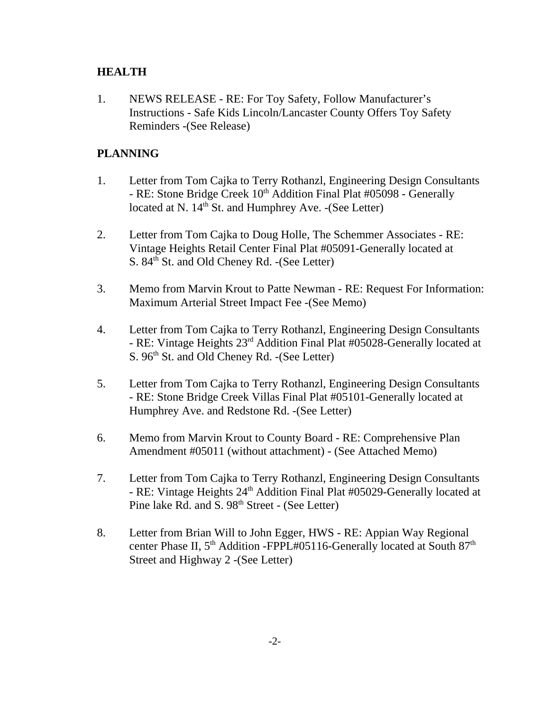### **HEALTH**

1. NEWS RELEASE - RE: For Toy Safety, Follow Manufacturer's Instructions - Safe Kids Lincoln/Lancaster County Offers Toy Safety Reminders -(See Release)

# **PLANNING**

- 1. Letter from Tom Cajka to Terry Rothanzl, Engineering Design Consultants - RE: Stone Bridge Creek 10<sup>th</sup> Addition Final Plat #05098 - Generally located at N.  $14<sup>th</sup>$  St. and Humphrey Ave. -(See Letter)
- 2. Letter from Tom Cajka to Doug Holle, The Schemmer Associates RE: Vintage Heights Retail Center Final Plat #05091-Generally located at S. 84<sup>th</sup> St. and Old Cheney Rd. -(See Letter)
- 3. Memo from Marvin Krout to Patte Newman RE: Request For Information: Maximum Arterial Street Impact Fee -(See Memo)
- 4. Letter from Tom Cajka to Terry Rothanzl, Engineering Design Consultants - RE: Vintage Heights 23rd Addition Final Plat #05028-Generally located at S.  $96<sup>th</sup>$  St. and Old Cheney Rd. -(See Letter)
- 5. Letter from Tom Cajka to Terry Rothanzl, Engineering Design Consultants - RE: Stone Bridge Creek Villas Final Plat #05101-Generally located at Humphrey Ave. and Redstone Rd. -(See Letter)
- 6. Memo from Marvin Krout to County Board RE: Comprehensive Plan Amendment #05011 (without attachment) - (See Attached Memo)
- 7. Letter from Tom Cajka to Terry Rothanzl, Engineering Design Consultants - RE: Vintage Heights 24<sup>th</sup> Addition Final Plat #05029-Generally located at Pine lake Rd. and S. 98<sup>th</sup> Street - (See Letter)
- 8. Letter from Brian Will to John Egger, HWS RE: Appian Way Regional center Phase II, 5<sup>th</sup> Addition -FPPL#05116-Generally located at South 87<sup>th</sup> Street and Highway 2 -(See Letter)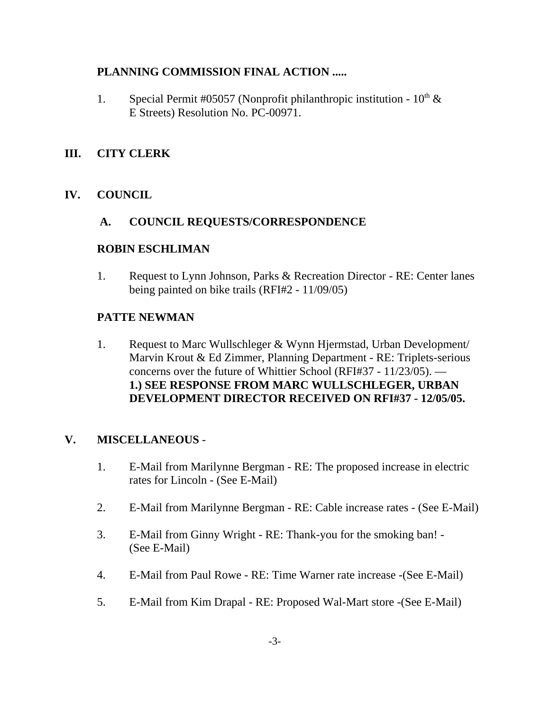# **PLANNING COMMISSION FINAL ACTION .....**

1. Special Permit #05057 (Nonprofit philanthropic institution -  $10^{th} \&$ E Streets) Resolution No. PC-00971.

# **III. CITY CLERK**

# **IV. COUNCIL**

### **A. COUNCIL REQUESTS/CORRESPONDENCE**

#### **ROBIN ESCHLIMAN**

1. Request to Lynn Johnson, Parks & Recreation Director - RE: Center lanes being painted on bike trails (RFI#2 - 11/09/05)

#### **PATTE NEWMAN**

1. Request to Marc Wullschleger & Wynn Hjermstad, Urban Development/ Marvin Krout & Ed Zimmer, Planning Department - RE: Triplets-serious concerns over the future of Whittier School (RFI#37 - 11/23/05). — **1.) SEE RESPONSE FROM MARC WULLSCHLEGER, URBAN DEVELOPMENT DIRECTOR RECEIVED ON RFI#37 - 12/05/05.** 

#### **V. MISCELLANEOUS** -

- 1. E-Mail from Marilynne Bergman RE: The proposed increase in electric rates for Lincoln - (See E-Mail)
- 2. E-Mail from Marilynne Bergman RE: Cable increase rates (See E-Mail)
- 3. E-Mail from Ginny Wright RE: Thank-you for the smoking ban! (See E-Mail)
- 4. E-Mail from Paul Rowe RE: Time Warner rate increase -(See E-Mail)
- 5. E-Mail from Kim Drapal RE: Proposed Wal-Mart store -(See E-Mail)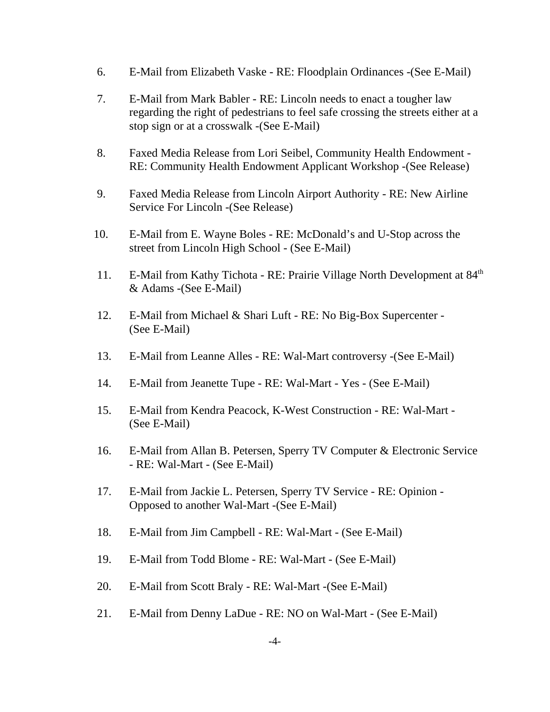- 6. E-Mail from Elizabeth Vaske RE: Floodplain Ordinances -(See E-Mail)
- 7. E-Mail from Mark Babler RE: Lincoln needs to enact a tougher law regarding the right of pedestrians to feel safe crossing the streets either at a stop sign or at a crosswalk -(See E-Mail)
- 8. Faxed Media Release from Lori Seibel, Community Health Endowment RE: Community Health Endowment Applicant Workshop -(See Release)
- 9. Faxed Media Release from Lincoln Airport Authority RE: New Airline Service For Lincoln -(See Release)
- 10. E-Mail from E. Wayne Boles RE: McDonald's and U-Stop across the street from Lincoln High School - (See E-Mail)
- 11. E-Mail from Kathy Tichota RE: Prairie Village North Development at 84<sup>th</sup> & Adams -(See E-Mail)
- 12. E-Mail from Michael & Shari Luft RE: No Big-Box Supercenter (See E-Mail)
- 13. E-Mail from Leanne Alles RE: Wal-Mart controversy -(See E-Mail)
- 14. E-Mail from Jeanette Tupe RE: Wal-Mart Yes (See E-Mail)
- 15. E-Mail from Kendra Peacock, K-West Construction RE: Wal-Mart (See E-Mail)
- 16. E-Mail from Allan B. Petersen, Sperry TV Computer & Electronic Service - RE: Wal-Mart - (See E-Mail)
- 17. E-Mail from Jackie L. Petersen, Sperry TV Service RE: Opinion Opposed to another Wal-Mart -(See E-Mail)
- 18. E-Mail from Jim Campbell RE: Wal-Mart (See E-Mail)
- 19. E-Mail from Todd Blome RE: Wal-Mart (See E-Mail)
- 20. E-Mail from Scott Braly RE: Wal-Mart -(See E-Mail)
- 21. E-Mail from Denny LaDue RE: NO on Wal-Mart (See E-Mail)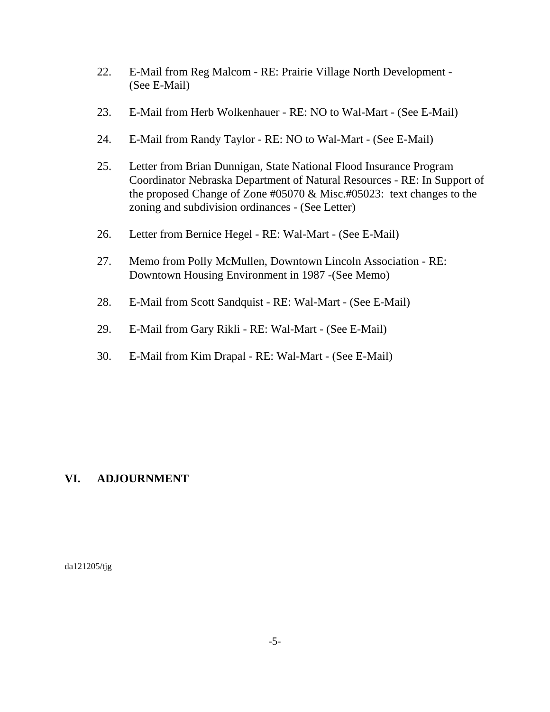- 22. E-Mail from Reg Malcom RE: Prairie Village North Development (See E-Mail)
- 23. E-Mail from Herb Wolkenhauer RE: NO to Wal-Mart (See E-Mail)
- 24. E-Mail from Randy Taylor RE: NO to Wal-Mart (See E-Mail)
- 25. Letter from Brian Dunnigan, State National Flood Insurance Program Coordinator Nebraska Department of Natural Resources - RE: In Support of the proposed Change of Zone #05070 & Misc.#05023: text changes to the zoning and subdivision ordinances - (See Letter)
- 26. Letter from Bernice Hegel RE: Wal-Mart (See E-Mail)
- 27. Memo from Polly McMullen, Downtown Lincoln Association RE: Downtown Housing Environment in 1987 -(See Memo)
- 28. E-Mail from Scott Sandquist RE: Wal-Mart (See E-Mail)
- 29. E-Mail from Gary Rikli RE: Wal-Mart (See E-Mail)
- 30. E-Mail from Kim Drapal RE: Wal-Mart (See E-Mail)

### **VI. ADJOURNMENT**

da121205/tjg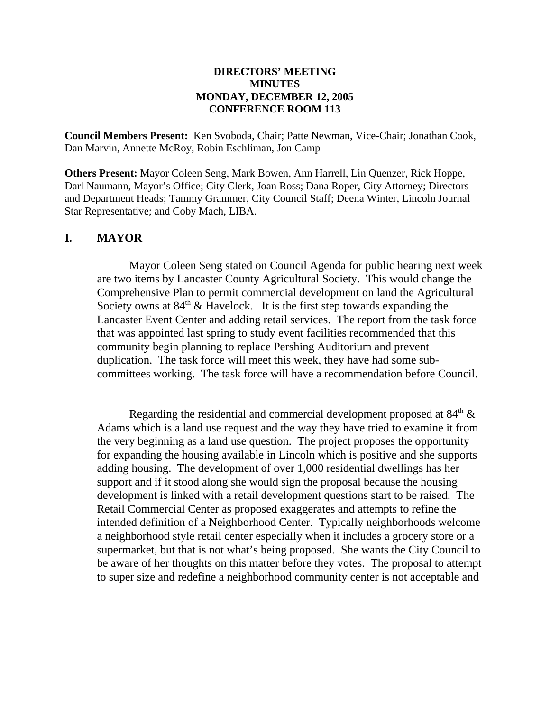#### **DIRECTORS' MEETING MINUTES MONDAY, DECEMBER 12, 2005 CONFERENCE ROOM 113**

**Council Members Present:** Ken Svoboda, Chair; Patte Newman, Vice-Chair; Jonathan Cook, Dan Marvin, Annette McRoy, Robin Eschliman, Jon Camp

**Others Present:** Mayor Coleen Seng, Mark Bowen, Ann Harrell, Lin Quenzer, Rick Hoppe, Darl Naumann, Mayor's Office; City Clerk, Joan Ross; Dana Roper, City Attorney; Directors and Department Heads; Tammy Grammer, City Council Staff; Deena Winter, Lincoln Journal Star Representative; and Coby Mach, LIBA.

#### **I. MAYOR**

Mayor Coleen Seng stated on Council Agenda for public hearing next week are two items by Lancaster County Agricultural Society. This would change the Comprehensive Plan to permit commercial development on land the Agricultural Society owns at  $84<sup>th</sup>$  & Havelock. It is the first step towards expanding the Lancaster Event Center and adding retail services. The report from the task force that was appointed last spring to study event facilities recommended that this community begin planning to replace Pershing Auditorium and prevent duplication. The task force will meet this week, they have had some subcommittees working. The task force will have a recommendation before Council.

Regarding the residential and commercial development proposed at  $84<sup>th</sup> \&$ Adams which is a land use request and the way they have tried to examine it from the very beginning as a land use question. The project proposes the opportunity for expanding the housing available in Lincoln which is positive and she supports adding housing. The development of over 1,000 residential dwellings has her support and if it stood along she would sign the proposal because the housing development is linked with a retail development questions start to be raised. The Retail Commercial Center as proposed exaggerates and attempts to refine the intended definition of a Neighborhood Center. Typically neighborhoods welcome a neighborhood style retail center especially when it includes a grocery store or a supermarket, but that is not what's being proposed. She wants the City Council to be aware of her thoughts on this matter before they votes. The proposal to attempt to super size and redefine a neighborhood community center is not acceptable and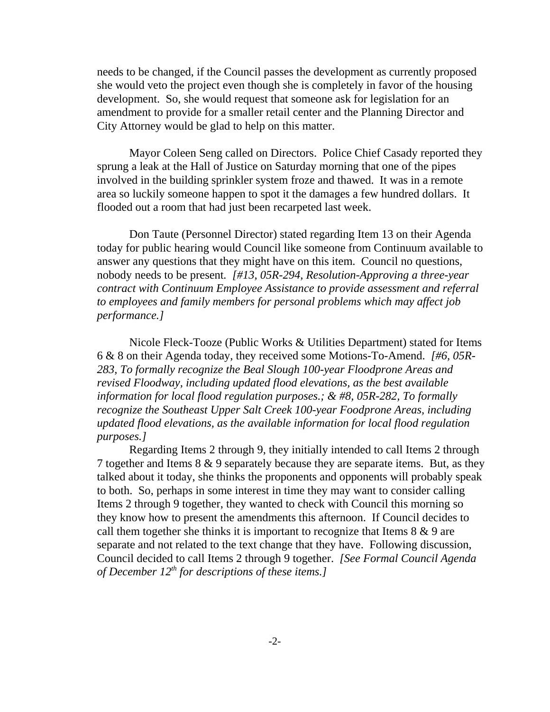needs to be changed, if the Council passes the development as currently proposed she would veto the project even though she is completely in favor of the housing development. So, she would request that someone ask for legislation for an amendment to provide for a smaller retail center and the Planning Director and City Attorney would be glad to help on this matter.

Mayor Coleen Seng called on Directors. Police Chief Casady reported they sprung a leak at the Hall of Justice on Saturday morning that one of the pipes involved in the building sprinkler system froze and thawed. It was in a remote area so luckily someone happen to spot it the damages a few hundred dollars. It flooded out a room that had just been recarpeted last week.

Don Taute (Personnel Director) stated regarding Item 13 on their Agenda today for public hearing would Council like someone from Continuum available to answer any questions that they might have on this item. Council no questions, nobody needs to be present*. [#13, 05R-294, Resolution-Approving a three-year contract with Continuum Employee Assistance to provide assessment and referral to employees and family members for personal problems which may affect job performance.]* 

Nicole Fleck-Tooze (Public Works & Utilities Department) stated for Items 6 & 8 on their Agenda today, they received some Motions-To-Amend. *[#6, 05R-283, To formally recognize the Beal Slough 100-year Floodprone Areas and revised Floodway, including updated flood elevations, as the best available information for local flood regulation purposes.; & #8, 05R-282, To formally recognize the Southeast Upper Salt Creek 100-year Foodprone Areas, including updated flood elevations, as the available information for local flood regulation purposes.]* 

Regarding Items 2 through 9, they initially intended to call Items 2 through 7 together and Items 8 & 9 separately because they are separate items. But, as they talked about it today, she thinks the proponents and opponents will probably speak to both. So, perhaps in some interest in time they may want to consider calling Items 2 through 9 together, they wanted to check with Council this morning so they know how to present the amendments this afternoon. If Council decides to call them together she thinks it is important to recognize that Items  $8 \& 9$  are separate and not related to the text change that they have. Following discussion, Council decided to call Items 2 through 9 together. *[See Formal Council Agenda of December 12th for descriptions of these items.]*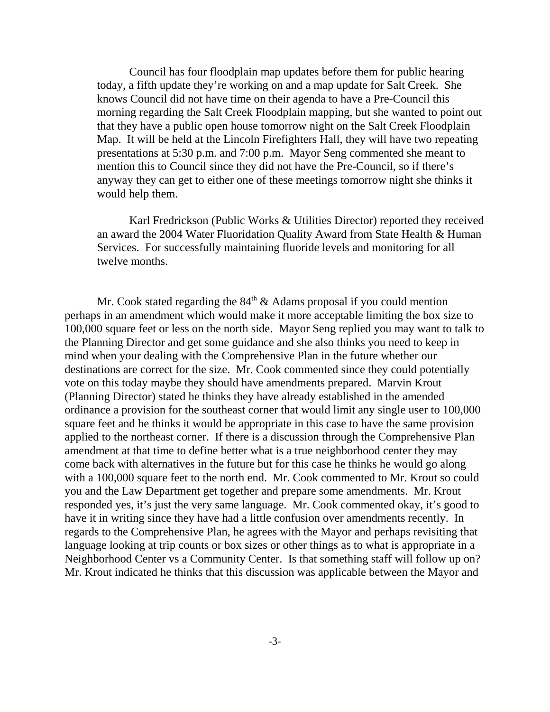Council has four floodplain map updates before them for public hearing today, a fifth update they're working on and a map update for Salt Creek. She knows Council did not have time on their agenda to have a Pre-Council this morning regarding the Salt Creek Floodplain mapping, but she wanted to point out that they have a public open house tomorrow night on the Salt Creek Floodplain Map. It will be held at the Lincoln Firefighters Hall, they will have two repeating presentations at 5:30 p.m. and 7:00 p.m. Mayor Seng commented she meant to mention this to Council since they did not have the Pre-Council, so if there's anyway they can get to either one of these meetings tomorrow night she thinks it would help them.

Karl Fredrickson (Public Works & Utilities Director) reported they received an award the 2004 Water Fluoridation Quality Award from State Health & Human Services. For successfully maintaining fluoride levels and monitoring for all twelve months.

Mr. Cook stated regarding the  $84<sup>th</sup>$  & Adams proposal if you could mention perhaps in an amendment which would make it more acceptable limiting the box size to 100,000 square feet or less on the north side. Mayor Seng replied you may want to talk to the Planning Director and get some guidance and she also thinks you need to keep in mind when your dealing with the Comprehensive Plan in the future whether our destinations are correct for the size. Mr. Cook commented since they could potentially vote on this today maybe they should have amendments prepared. Marvin Krout (Planning Director) stated he thinks they have already established in the amended ordinance a provision for the southeast corner that would limit any single user to 100,000 square feet and he thinks it would be appropriate in this case to have the same provision applied to the northeast corner. If there is a discussion through the Comprehensive Plan amendment at that time to define better what is a true neighborhood center they may come back with alternatives in the future but for this case he thinks he would go along with a 100,000 square feet to the north end. Mr. Cook commented to Mr. Krout so could you and the Law Department get together and prepare some amendments. Mr. Krout responded yes, it's just the very same language. Mr. Cook commented okay, it's good to have it in writing since they have had a little confusion over amendments recently. In regards to the Comprehensive Plan, he agrees with the Mayor and perhaps revisiting that language looking at trip counts or box sizes or other things as to what is appropriate in a Neighborhood Center vs a Community Center. Is that something staff will follow up on? Mr. Krout indicated he thinks that this discussion was applicable between the Mayor and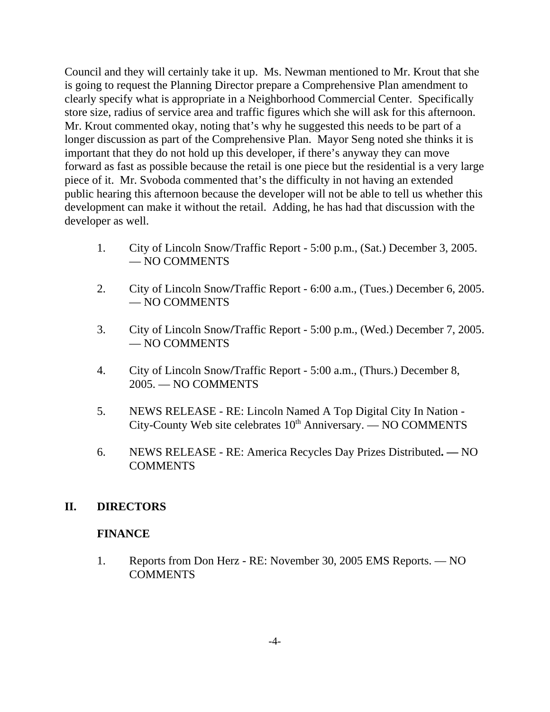Council and they will certainly take it up. Ms. Newman mentioned to Mr. Krout that she is going to request the Planning Director prepare a Comprehensive Plan amendment to clearly specify what is appropriate in a Neighborhood Commercial Center. Specifically store size, radius of service area and traffic figures which she will ask for this afternoon. Mr. Krout commented okay, noting that's why he suggested this needs to be part of a longer discussion as part of the Comprehensive Plan. Mayor Seng noted she thinks it is important that they do not hold up this developer, if there's anyway they can move forward as fast as possible because the retail is one piece but the residential is a very large piece of it. Mr. Svoboda commented that's the difficulty in not having an extended public hearing this afternoon because the developer will not be able to tell us whether this development can make it without the retail. Adding, he has had that discussion with the developer as well.

- 1. City of Lincoln Snow/Traffic Report 5:00 p.m., (Sat.) December 3, 2005. — NO COMMENTS
- 2. City of Lincoln Snow**/**Traffic Report 6:00 a.m., (Tues.) December 6, 2005. — NO COMMENTS
- 3. City of Lincoln Snow**/**Traffic Report 5:00 p.m., (Wed.) December 7, 2005. — NO COMMENTS
- 4. City of Lincoln Snow**/**Traffic Report 5:00 a.m., (Thurs.) December 8, 2005. — NO COMMENTS
- 5. NEWS RELEASE RE: Lincoln Named A Top Digital City In Nation  $City$ -County Web site celebrates  $10<sup>th</sup>$  Anniversary. — NO COMMENTS
- 6. NEWS RELEASE RE: America Recycles Day Prizes Distributed**.** NO **COMMENTS**

### **II. DIRECTORS**

### **FINANCE**

1. Reports from Don Herz - RE: November 30, 2005 EMS Reports. — NO **COMMENTS**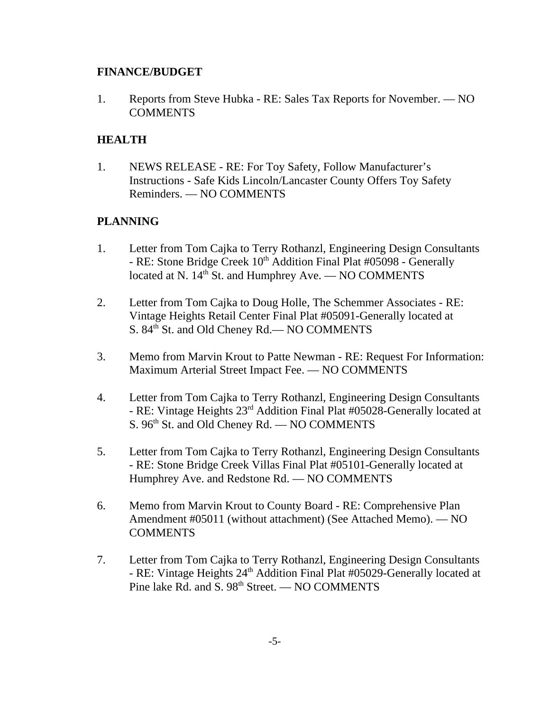### **FINANCE/BUDGET**

1. Reports from Steve Hubka - RE: Sales Tax Reports for November. — NO COMMENTS

# **HEALTH**

1. NEWS RELEASE - RE: For Toy Safety, Follow Manufacturer's Instructions - Safe Kids Lincoln/Lancaster County Offers Toy Safety Reminders. — NO COMMENTS

# **PLANNING**

- 1. Letter from Tom Cajka to Terry Rothanzl, Engineering Design Consultants - RE: Stone Bridge Creek 10<sup>th</sup> Addition Final Plat #05098 - Generally located at N.  $14<sup>th</sup>$  St. and Humphrey Ave. — NO COMMENTS
- 2. Letter from Tom Cajka to Doug Holle, The Schemmer Associates RE: Vintage Heights Retail Center Final Plat #05091-Generally located at S. 84<sup>th</sup> St. and Old Cheney Rd.— NO COMMENTS
- 3. Memo from Marvin Krout to Patte Newman RE: Request For Information: Maximum Arterial Street Impact Fee. — NO COMMENTS
- 4. Letter from Tom Cajka to Terry Rothanzl, Engineering Design Consultants - RE: Vintage Heights 23rd Addition Final Plat #05028-Generally located at S. 96<sup>th</sup> St. and Old Cheney Rd. — NO COMMENTS
- 5. Letter from Tom Cajka to Terry Rothanzl, Engineering Design Consultants - RE: Stone Bridge Creek Villas Final Plat #05101-Generally located at Humphrey Ave. and Redstone Rd. — NO COMMENTS
- 6. Memo from Marvin Krout to County Board RE: Comprehensive Plan Amendment #05011 (without attachment) (See Attached Memo). — NO COMMENTS
- 7. Letter from Tom Cajka to Terry Rothanzl, Engineering Design Consultants - RE: Vintage Heights 24<sup>th</sup> Addition Final Plat #05029-Generally located at Pine lake  $Rd$ . and  $S. 98<sup>th</sup>$  Street. — NO COMMENTS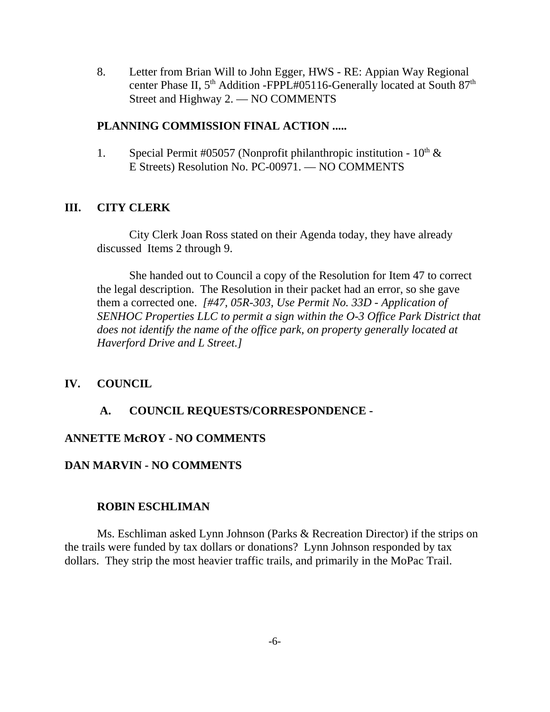8. Letter from Brian Will to John Egger, HWS - RE: Appian Way Regional center Phase II, 5<sup>th</sup> Addition -FPPL#05116-Generally located at South 87<sup>th</sup> Street and Highway 2. — NO COMMENTS

#### **PLANNING COMMISSION FINAL ACTION .....**

1. Special Permit #05057 (Nonprofit philanthropic institution -  $10^{th} \&$ E Streets) Resolution No. PC-00971. — NO COMMENTS

#### **III. CITY CLERK**

City Clerk Joan Ross stated on their Agenda today, they have already discussed Items 2 through 9.

She handed out to Council a copy of the Resolution for Item 47 to correct the legal description. The Resolution in their packet had an error, so she gave them a corrected one. *[#47, 05R-303, Use Permit No. 33D - Application of SENHOC Properties LLC to permit a sign within the O-3 Office Park District that does not identify the name of the office park, on property generally located at Haverford Drive and L Street.]* 

#### **IV. COUNCIL**

#### **A. COUNCIL REQUESTS/CORRESPONDENCE -**

#### **ANNETTE McROY - NO COMMENTS**

#### **DAN MARVIN - NO COMMENTS**

#### **ROBIN ESCHLIMAN**

Ms. Eschliman asked Lynn Johnson (Parks & Recreation Director) if the strips on the trails were funded by tax dollars or donations? Lynn Johnson responded by tax dollars. They strip the most heavier traffic trails, and primarily in the MoPac Trail.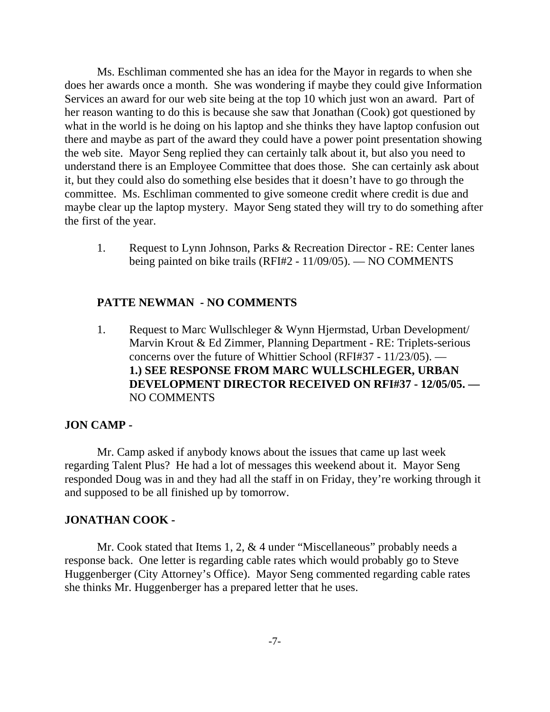Ms. Eschliman commented she has an idea for the Mayor in regards to when she does her awards once a month. She was wondering if maybe they could give Information Services an award for our web site being at the top 10 which just won an award. Part of her reason wanting to do this is because she saw that Jonathan (Cook) got questioned by what in the world is he doing on his laptop and she thinks they have laptop confusion out there and maybe as part of the award they could have a power point presentation showing the web site. Mayor Seng replied they can certainly talk about it, but also you need to understand there is an Employee Committee that does those. She can certainly ask about it, but they could also do something else besides that it doesn't have to go through the committee. Ms. Eschliman commented to give someone credit where credit is due and maybe clear up the laptop mystery. Mayor Seng stated they will try to do something after the first of the year.

1. Request to Lynn Johnson, Parks & Recreation Director - RE: Center lanes being painted on bike trails (RFI#2 - 11/09/05). — NO COMMENTS

#### **PATTE NEWMAN - NO COMMENTS**

1. Request to Marc Wullschleger & Wynn Hjermstad, Urban Development/ Marvin Krout & Ed Zimmer, Planning Department - RE: Triplets-serious concerns over the future of Whittier School (RFI#37 - 11/23/05). — **1.) SEE RESPONSE FROM MARC WULLSCHLEGER, URBAN DEVELOPMENT DIRECTOR RECEIVED ON RFI#37 - 12/05/05. —** NO COMMENTS

#### **JON CAMP -**

Mr. Camp asked if anybody knows about the issues that came up last week regarding Talent Plus? He had a lot of messages this weekend about it. Mayor Seng responded Doug was in and they had all the staff in on Friday, they're working through it and supposed to be all finished up by tomorrow.

#### **JONATHAN COOK -**

Mr. Cook stated that Items 1, 2, & 4 under "Miscellaneous" probably needs a response back. One letter is regarding cable rates which would probably go to Steve Huggenberger (City Attorney's Office). Mayor Seng commented regarding cable rates she thinks Mr. Huggenberger has a prepared letter that he uses.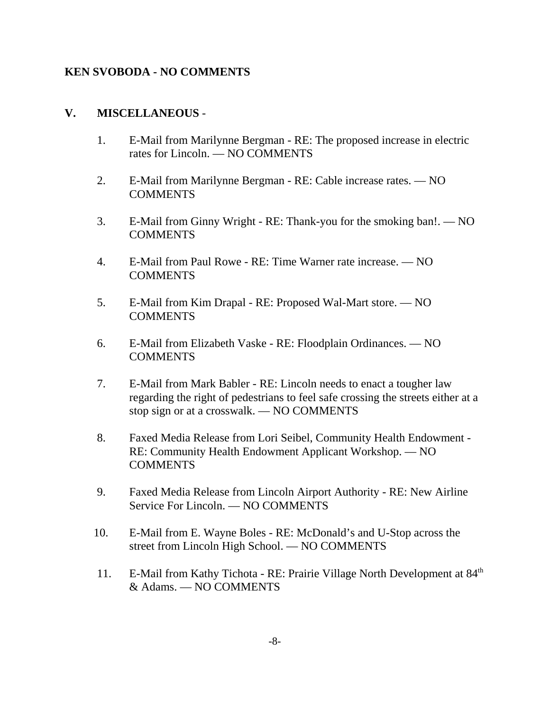#### **KEN SVOBODA - NO COMMENTS**

#### **V. MISCELLANEOUS** -

- 1. E-Mail from Marilynne Bergman RE: The proposed increase in electric rates for Lincoln. — NO COMMENTS
- 2. E-Mail from Marilynne Bergman RE: Cable increase rates. NO COMMENTS
- 3. E-Mail from Ginny Wright RE: Thank-you for the smoking ban!. NO **COMMENTS**
- 4. E-Mail from Paul Rowe RE: Time Warner rate increase. NO COMMENTS
- 5. E-Mail from Kim Drapal RE: Proposed Wal-Mart store. NO COMMENTS
- 6. E-Mail from Elizabeth Vaske RE: Floodplain Ordinances. NO **COMMENTS**
- 7. E-Mail from Mark Babler RE: Lincoln needs to enact a tougher law regarding the right of pedestrians to feel safe crossing the streets either at a stop sign or at a crosswalk. — NO COMMENTS
- 8. Faxed Media Release from Lori Seibel, Community Health Endowment RE: Community Health Endowment Applicant Workshop. — NO COMMENTS
- 9. Faxed Media Release from Lincoln Airport Authority RE: New Airline Service For Lincoln. — NO COMMENTS
- 10. E-Mail from E. Wayne Boles RE: McDonald's and U-Stop across the street from Lincoln High School. — NO COMMENTS
- 11. E-Mail from Kathy Tichota RE: Prairie Village North Development at 84<sup>th</sup> & Adams. — NO COMMENTS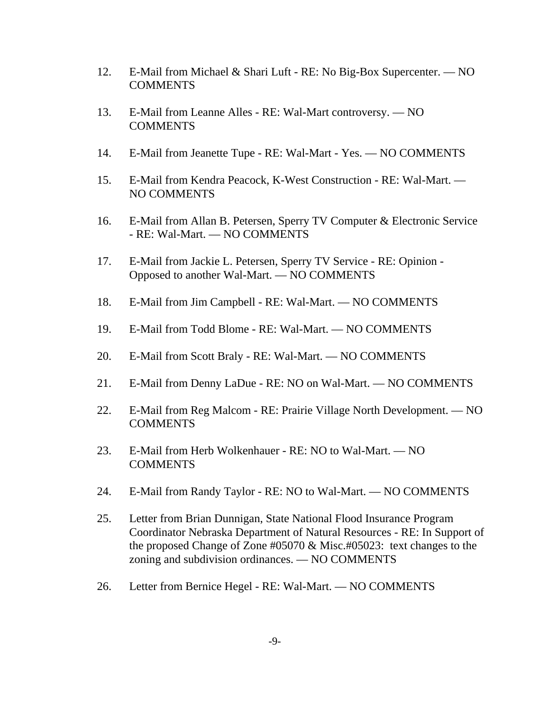- 12. E-Mail from Michael & Shari Luft RE: No Big-Box Supercenter. NO **COMMENTS**
- 13. E-Mail from Leanne Alles RE: Wal-Mart controversy. NO COMMENTS
- 14. E-Mail from Jeanette Tupe RE: Wal-Mart Yes. NO COMMENTS
- 15. E-Mail from Kendra Peacock, K-West Construction RE: Wal-Mart. NO COMMENTS
- 16. E-Mail from Allan B. Petersen, Sperry TV Computer & Electronic Service - RE: Wal-Mart. — NO COMMENTS
- 17. E-Mail from Jackie L. Petersen, Sperry TV Service RE: Opinion Opposed to another Wal-Mart. — NO COMMENTS
- 18. E-Mail from Jim Campbell RE: Wal-Mart. NO COMMENTS
- 19. E-Mail from Todd Blome RE: Wal-Mart. NO COMMENTS
- 20. E-Mail from Scott Braly RE: Wal-Mart. NO COMMENTS
- 21. E-Mail from Denny LaDue RE: NO on Wal-Mart. NO COMMENTS
- 22. E-Mail from Reg Malcom RE: Prairie Village North Development. NO **COMMENTS**
- 23. E-Mail from Herb Wolkenhauer RE: NO to Wal-Mart. NO COMMENTS
- 24. E-Mail from Randy Taylor RE: NO to Wal-Mart. NO COMMENTS
- 25. Letter from Brian Dunnigan, State National Flood Insurance Program Coordinator Nebraska Department of Natural Resources - RE: In Support of the proposed Change of Zone #05070 & Misc.#05023: text changes to the zoning and subdivision ordinances. — NO COMMENTS
- 26. Letter from Bernice Hegel RE: Wal-Mart. NO COMMENTS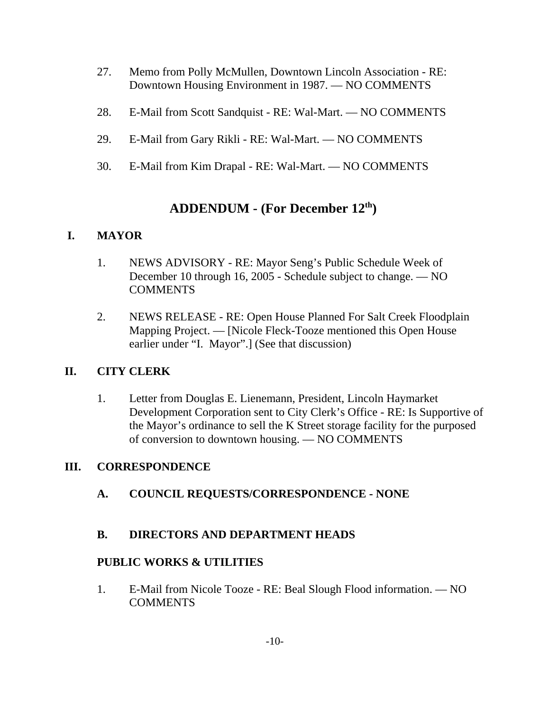- 27. Memo from Polly McMullen, Downtown Lincoln Association RE: Downtown Housing Environment in 1987. — NO COMMENTS
- 28. E-Mail from Scott Sandquist RE: Wal-Mart. NO COMMENTS
- 29. E-Mail from Gary Rikli RE: Wal-Mart. NO COMMENTS
- 30. E-Mail from Kim Drapal RE: Wal-Mart. NO COMMENTS

# **ADDENDUM - (For December 12th)**

# **I. MAYOR**

- 1. NEWS ADVISORY RE: Mayor Seng's Public Schedule Week of December 10 through 16, 2005 - Schedule subject to change. — NO COMMENTS
- 2. NEWS RELEASE RE: Open House Planned For Salt Creek Floodplain Mapping Project. — [Nicole Fleck-Tooze mentioned this Open House earlier under "I. Mayor".] (See that discussion)

# **II. CITY CLERK**

1. Letter from Douglas E. Lienemann, President, Lincoln Haymarket Development Corporation sent to City Clerk's Office - RE: Is Supportive of the Mayor's ordinance to sell the K Street storage facility for the purposed of conversion to downtown housing. — NO COMMENTS

# **III. CORRESPONDENCE**

**A. COUNCIL REQUESTS/CORRESPONDENCE - NONE**

# **B. DIRECTORS AND DEPARTMENT HEADS**

# **PUBLIC WORKS & UTILITIES**

1. E-Mail from Nicole Tooze - RE: Beal Slough Flood information. — NO **COMMENTS**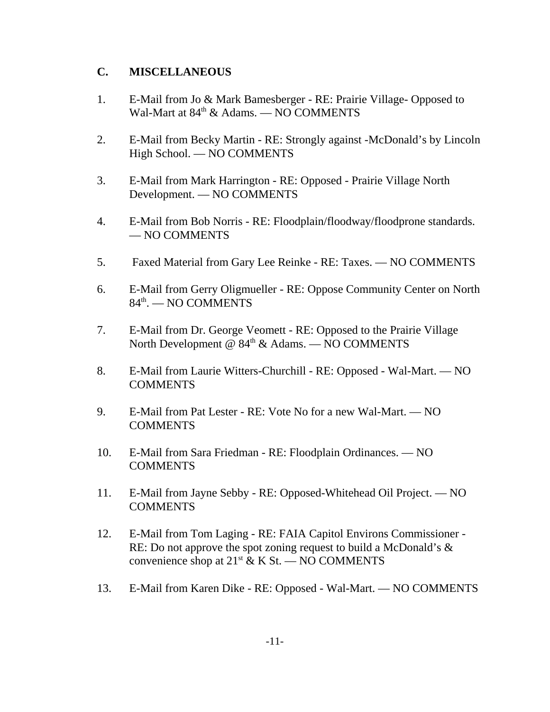### **C. MISCELLANEOUS**

- 1. E-Mail from Jo & Mark Bamesberger RE: Prairie Village- Opposed to Wal-Mart at  $84<sup>th</sup>$  & Adams. — NO COMMENTS
- 2. E-Mail from Becky Martin RE: Strongly against -McDonald's by Lincoln High School. — NO COMMENTS
- 3. E-Mail from Mark Harrington RE: Opposed Prairie Village North Development. — NO COMMENTS
- 4. E-Mail from Bob Norris RE: Floodplain/floodway/floodprone standards. — NO COMMENTS
- 5. Faxed Material from Gary Lee Reinke RE: Taxes. NO COMMENTS
- 6. E-Mail from Gerry Oligmueller RE: Oppose Community Center on North  $84<sup>th</sup>$ . — NO COMMENTS
- 7. E-Mail from Dr. George Veomett RE: Opposed to the Prairie Village North Development  $\ddot{\textcirc}$  84<sup>th</sup> & Adams. — NO COMMENTS
- 8. E-Mail from Laurie Witters-Churchill RE: Opposed Wal-Mart. NO **COMMENTS**
- 9. E-Mail from Pat Lester RE: Vote No for a new Wal-Mart. NO COMMENTS
- 10. E-Mail from Sara Friedman RE: Floodplain Ordinances. NO **COMMENTS**
- 11. E-Mail from Jayne Sebby RE: Opposed-Whitehead Oil Project. NO COMMENTS
- 12. E-Mail from Tom Laging RE: FAIA Capitol Environs Commissioner RE: Do not approve the spot zoning request to build a McDonald's & convenience shop at  $21^{st}$  & K St. — NO COMMENTS
- 13. E-Mail from Karen Dike RE: Opposed Wal-Mart. NO COMMENTS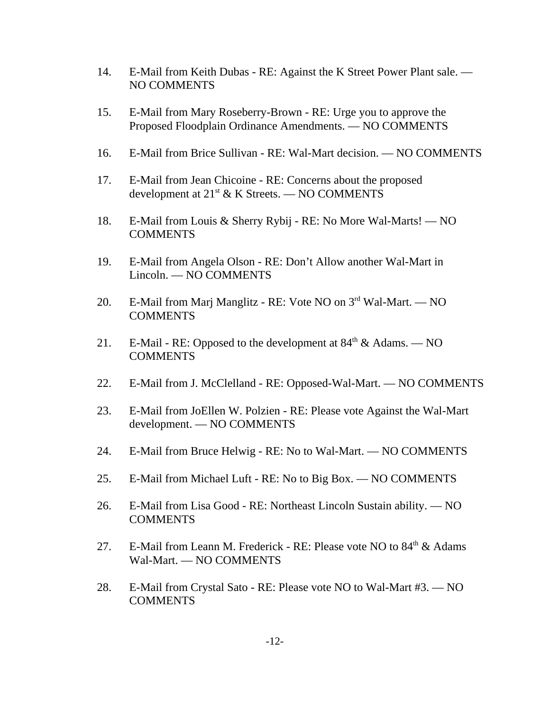- 14. E-Mail from Keith Dubas RE: Against the K Street Power Plant sale. NO COMMENTS
- 15. E-Mail from Mary Roseberry-Brown RE: Urge you to approve the Proposed Floodplain Ordinance Amendments. — NO COMMENTS
- 16. E-Mail from Brice Sullivan RE: Wal-Mart decision. NO COMMENTS
- 17. E-Mail from Jean Chicoine RE: Concerns about the proposed development at  $21^{st}$  & K Streets. — NO COMMENTS
- 18. E-Mail from Louis & Sherry Rybij RE: No More Wal-Marts! NO COMMENTS
- 19. E-Mail from Angela Olson RE: Don't Allow another Wal-Mart in Lincoln. — NO COMMENTS
- 20. E-Mail from Marj Manglitz RE: Vote NO on 3rd Wal-Mart. NO COMMENTS
- 21. E-Mail RE: Opposed to the development at  $84<sup>th</sup> \&$  Adams. NO COMMENTS
- 22. E-Mail from J. McClelland RE: Opposed-Wal-Mart. NO COMMENTS
- 23. E-Mail from JoEllen W. Polzien RE: Please vote Against the Wal-Mart development. — NO COMMENTS
- 24. E-Mail from Bruce Helwig RE: No to Wal-Mart. NO COMMENTS
- 25. E-Mail from Michael Luft RE: No to Big Box. NO COMMENTS
- 26. E-Mail from Lisa Good RE: Northeast Lincoln Sustain ability. NO **COMMENTS**
- 27. E-Mail from Leann M. Frederick RE: Please vote NO to  $84<sup>th</sup>$  & Adams Wal-Mart. — NO COMMENTS
- 28. E-Mail from Crystal Sato RE: Please vote NO to Wal-Mart #3. NO COMMENTS